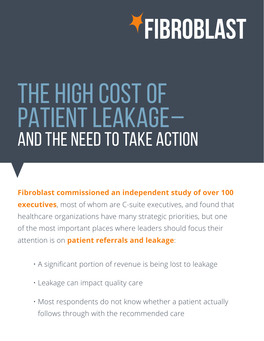

# THE HIGH COST OF PATIENT LEAKAGE– AND THE NEED TO TAKE ACTION

**Fibroblast commissioned an independent study of over 100 executives**, most of whom are C-suite executives, and found that healthcare organizations have many strategic priorities, but one of the most important places where leaders should focus their attention is on **patient referrals and leakage**:

- A significant portion of revenue is being lost to leakage
- Leakage can impact quality care
- Most respondents do not know whether a patient actually follows through with the recommended care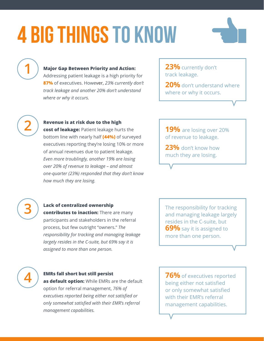# 4 BIG THINGS TO KNOW



**1**

## **Major Gap Between Priority and Action:**

Addressing patient leakage is a high priority for **87%** of executives. However, *23% currently don't track leakage and another 20% don't understand where or why it occurs.*

**23%** currently don't track leakage.

**20%** don't understand where where or why it occurs.



## **Revenue is at risk due to the high**

**cost of leakage:** Patient leakage hurts the bottom line with nearly half **(44%)** of surveyed executives reporting they're losing 10% or more of annual revenues due to patient leakage. *Even more troublingly, another 19% are losing over 20% of revenue to leakage – and almost one-quarter (23%) responded that they don't know how much they are losing.*

**19%** are losing over 20% of revenue to leakage.

**23%** don't know how much they are losing.



### **Lack of centralized ownership**

**contributes to inaction:** There are many participants and stakeholders in the referral process, but few outright "owners." *The responsibility for tracking and managing leakage largely resides in the C-suite, but 69% say it is assigned to more than one person.* 

The responsibility for tracking and managing leakage largely resides in the C-suite, but **69%** say it is assigned to more than one person.



#### **EMRs fall short but still persist**

**as default option:** While EMRs are the default option for referral management, *76% of executives reported being either not satisfied or only somewhat satisfied with their EMR's referral management capabilities.* 

**76%** of executives reported being either not satisfied or only somewhat satisfied with their EMR's referral management capabilities.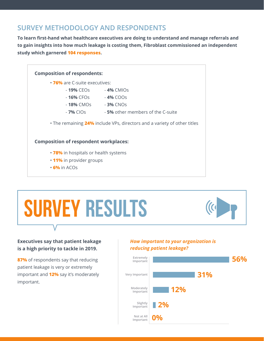## **SURVEY METHODOLOGY AND RESPONDENTS**

**To learn first-hand what healthcare executives are doing to understand and manage referrals and to gain insights into how much leakage is costing them, Fibroblast commissioned an independent study which garnered 104 responses.** 



# SURVEY RESULTS



## **Executives say that patient leakage is a high priority to tackle in 2019.**

**87%** of respondents say that reducing patient leakage is very or extremely important and **12%** say it's moderately important.

## *How important to your organization is reducing patient leakage?*

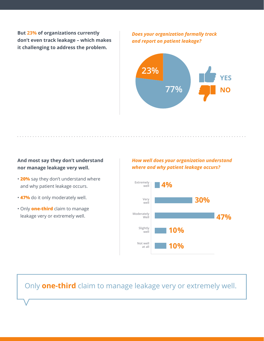**But 23% of organizations currently don't even track leakage – which makes it challenging to address the problem.** 

*Does your organization formally track and report on patient leakage?*



## **And most say they don't understand nor manage leakage very well.**

- **20%** say they don't understand where and why patient leakage occurs.
- **47%** do it only moderately well.
- Only **one-third** claim to manage leakage very or extremely well.

## *How well does your organization understand where and why patient leakage occurs?*



## Only **one-third** claim to manage leakage very or extremely well.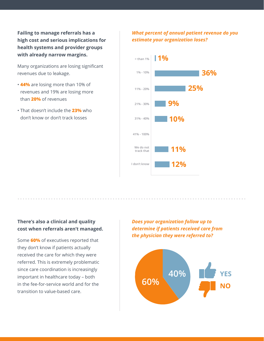**Failing to manage referrals has a high cost and serious implications for health systems and provider groups with already narrow margins.** 

Many organizations are losing significant revenues due to leakage.

- **44%** are losing more than 10% of revenues and 19% are losing more than **20%** of revenues
- That doesn't include the **23%** who don't know or don't track losses

## *What percent of annual patient revenue do you estimate your organization loses?*



## **There's also a clinical and quality cost when referrals aren't managed.**

Some **60%** of executives reported that they don't know if patients actually received the care for which they were referred. This is extremely problematic since care coordination is increasingly important in healthcare today – both in the fee-for-service world and for the transition to value-based care.

*Does your organization follow up to determine if patients received care from the physician they were referred to?*

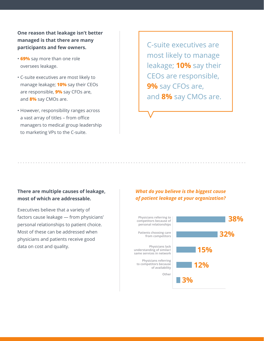**One reason that leakage isn't better managed is that there are many participants and few owners.** 

- **69%** say more than one role oversees leakage.
- C-suite executives are most likely to manage leakage; **10%** say their CEOs are responsible, **9%** say CFOs are, and **8%** say CMOs are.
- However, responsibility ranges across a vast array of titles – from office managers to medical group leadership to marketing VPs to the C-suite.

C-suite executives are most likely to manage leakage; **10%** say their CEOs are responsible, **9%** say CFOs are, and **8%** say CMOs are.

### **There are multiple causes of leakage, most of which are addressable.**

Executives believe that a variety of factors cause leakage — from physicians' personal relationships to patient choice. Most of these can be addressed when physicians and patients receive good data on cost and quality.

### *What do you believe is the biggest cause of patient leakage at your organization?*

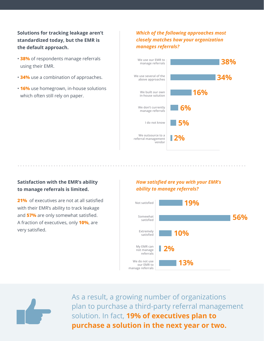**Solutions for tracking leakage aren't standardized today, but the EMR is the default approach.** 

- **38%** of respondents manage referrals using their EMR.
- **34%** use a combination of approaches.
- **16%** use homegrown, in-house solutions which often still rely on paper.

## *Which of the following approaches most closely matches how your organization manages referrals?*



## **Satisfaction with the EMR's ability to manage referrals is limited.**

. . . . . . . . . . . . . .

**21%** of executives are not at all satisfied with their EMR's ability to track leakage and **57%** are only somewhat satisfied. A fraction of executives, only **10%**, are very satisfied.

## *How satisfied are you with your EMR's ability to manage referrals?*



As a result, a growing number of organizations plan to purchase a third-party referral management solution. In fact, **19% of executives plan to purchase a solution in the next year or two.**